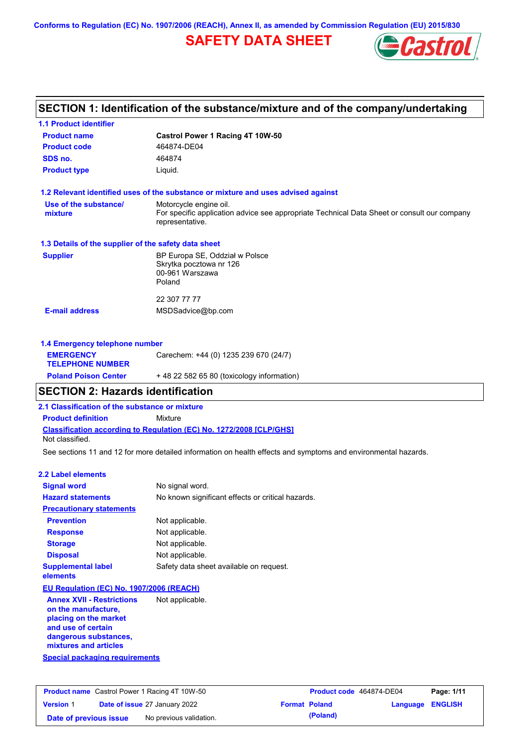**Conforms to Regulation (EC) No. 1907/2006 (REACH), Annex II, as amended by Commission Regulation (EU) 2015/830**

# **SAFETY DATA SHEET**



| <b>1.1 Product identifier</b>                        |                                                                                                                |
|------------------------------------------------------|----------------------------------------------------------------------------------------------------------------|
| <b>Product name</b>                                  | Castrol Power 1 Racing 4T 10W-50                                                                               |
| <b>Product code</b>                                  | 464874-DE04                                                                                                    |
| SDS no.                                              | 464874                                                                                                         |
| <b>Product type</b>                                  | Liquid.                                                                                                        |
|                                                      | 1.2 Relevant identified uses of the substance or mixture and uses advised against                              |
| Use of the substance/                                | Motorcycle engine oil.                                                                                         |
| mixture                                              | For specific application advice see appropriate Technical Data Sheet or consult our company<br>representative. |
| 1.3 Details of the supplier of the safety data sheet |                                                                                                                |
| <b>Supplier</b>                                      | BP Europa SE, Oddział w Polsce                                                                                 |
|                                                      | Skrytka pocztowa nr 126                                                                                        |
|                                                      | 00-961 Warszawa<br>Poland                                                                                      |
|                                                      | 22 307 77 77                                                                                                   |
| <b>E-mail address</b>                                | MSDSadvice@bp.com                                                                                              |
|                                                      |                                                                                                                |
| 1.4 Emergency telephone number                       |                                                                                                                |
| <b>EMERGENCY</b>                                     | Carechem: +44 (0) 1235 239 670 (24/7)                                                                          |

# **TELEPHONE NUMBER Poland Poison Center** + 48 22 582 65 80 (toxicology information)

## **SECTION 2: Hazards identification**

**2.1 Classification of the substance or mixture**

**Product definition** Mixture

**Classification according to Regulation (EC) No. 1272/2008 [CLP/GHS]** Not classified.

See sections 11 and 12 for more detailed information on health effects and symptoms and environmental hazards.

#### **2.2 Label elements**

| <b>Signal word</b>                       | No signal word.                                   |
|------------------------------------------|---------------------------------------------------|
| <b>Hazard statements</b>                 | No known significant effects or critical hazards. |
| <b>Precautionary statements</b>          |                                                   |
| <b>Prevention</b>                        | Not applicable.                                   |
| <b>Response</b>                          | Not applicable.                                   |
| <b>Storage</b>                           | Not applicable.                                   |
| <b>Disposal</b>                          | Not applicable.                                   |
| <b>Supplemental label</b><br>elements    | Safety data sheet available on request.           |
| EU Regulation (EC) No. 1907/2006 (REACH) |                                                   |
| <b>Annex XVII - Restrictions</b>         | Not applicable.                                   |

**Annex XVII - Restrictions on the manufacture, placing on the market and use of certain dangerous substances, mixtures and articles**

**Special packaging requirements**

|                        | <b>Product name</b> Castrol Power 1 Racing 4T 10W-50 |                      | Product code 464874-DE04 |                         | Page: 1/11 |
|------------------------|------------------------------------------------------|----------------------|--------------------------|-------------------------|------------|
| <b>Version 1</b>       | <b>Date of issue 27 January 2022</b>                 | <b>Format Poland</b> |                          | <b>Language ENGLISH</b> |            |
| Date of previous issue | No previous validation.                              |                      | (Poland)                 |                         |            |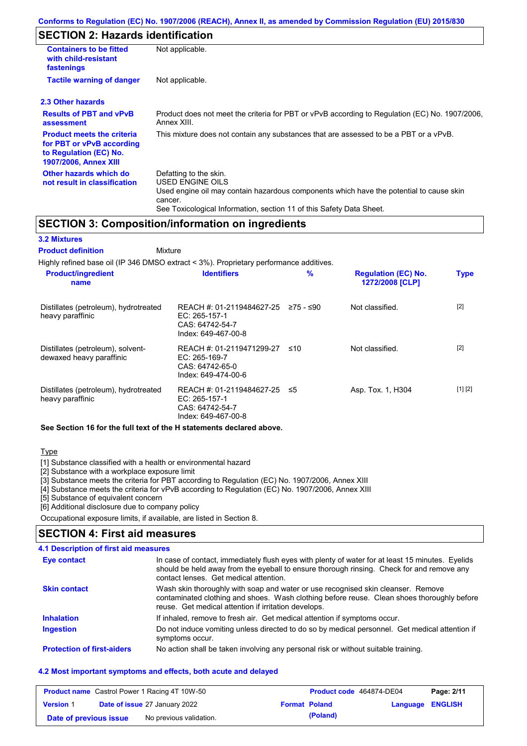# **SECTION 2: Hazards identification**

| <b>Containers to be fitted</b><br>with child-resistant<br>fastenings                                                     | Not applicable.                                                                                                                                                                                                          |
|--------------------------------------------------------------------------------------------------------------------------|--------------------------------------------------------------------------------------------------------------------------------------------------------------------------------------------------------------------------|
| <b>Tactile warning of danger</b>                                                                                         | Not applicable.                                                                                                                                                                                                          |
| 2.3 Other hazards                                                                                                        |                                                                                                                                                                                                                          |
| <b>Results of PBT and vPvB</b><br>assessment                                                                             | Product does not meet the criteria for PBT or vPvB according to Regulation (EC) No. 1907/2006,<br>Annex XIII.                                                                                                            |
| <b>Product meets the criteria</b><br>for PBT or vPvB according<br>to Regulation (EC) No.<br><b>1907/2006, Annex XIII</b> | This mixture does not contain any substances that are assessed to be a PBT or a vPvB.                                                                                                                                    |
| Other hazards which do<br>not result in classification                                                                   | Defatting to the skin.<br>USED ENGINE OILS<br>Used engine oil may contain hazardous components which have the potential to cause skin<br>cancer.<br>See Toxicological Information, section 11 of this Safety Data Sheet. |

## **SECTION 3: Composition/information on ingredients**

### **3.2 Mixtures**

Mixture **Product definition**

| Highly refined base oil (IP 346 DMSO extract < 3%). Proprietary performance additives. |                                                                                        |           |                                               |             |  |
|----------------------------------------------------------------------------------------|----------------------------------------------------------------------------------------|-----------|-----------------------------------------------|-------------|--|
| <b>Product/ingredient</b><br>name                                                      | <b>Identifiers</b>                                                                     | %         | <b>Regulation (EC) No.</b><br>1272/2008 [CLP] | <b>Type</b> |  |
| Distillates (petroleum), hydrotreated<br>heavy paraffinic                              | REACH #: 01-2119484627-25<br>EC: 265-157-1<br>CAS: 64742-54-7<br>Index: 649-467-00-8   | 275 - ≤90 | Not classified.                               | $[2]$       |  |
| Distillates (petroleum), solvent-<br>dewaxed heavy paraffinic                          | REACH #: 01-2119471299-27<br>$EC: 265-169-7$<br>CAS: 64742-65-0<br>Index: 649-474-00-6 | ≤10       | Not classified.                               | $[2]$       |  |
| Distillates (petroleum), hydrotreated<br>heavy paraffinic                              | REACH #: 01-2119484627-25<br>EC: 265-157-1<br>CAS: 64742-54-7<br>Index: 649-467-00-8   | -≤5       | Asp. Tox. 1, H304                             | [1] [2]     |  |

#### **See Section 16 for the full text of the H statements declared above.**

#### Type

[1] Substance classified with a health or environmental hazard

[2] Substance with a workplace exposure limit

[3] Substance meets the criteria for PBT according to Regulation (EC) No. 1907/2006, Annex XIII

[4] Substance meets the criteria for vPvB according to Regulation (EC) No. 1907/2006, Annex XIII

[5] Substance of equivalent concern

[6] Additional disclosure due to company policy

Occupational exposure limits, if available, are listed in Section 8.

### **SECTION 4: First aid measures**

### **4.1 Description of first aid measures**

| Eye contact                       | In case of contact, immediately flush eyes with plenty of water for at least 15 minutes. Eyelids<br>should be held away from the eyeball to ensure thorough rinsing. Check for and remove any<br>contact lenses. Get medical attention. |
|-----------------------------------|-----------------------------------------------------------------------------------------------------------------------------------------------------------------------------------------------------------------------------------------|
| <b>Skin contact</b>               | Wash skin thoroughly with soap and water or use recognised skin cleanser. Remove<br>contaminated clothing and shoes. Wash clothing before reuse. Clean shoes thoroughly before<br>reuse. Get medical attention if irritation develops.  |
| <b>Inhalation</b>                 | If inhaled, remove to fresh air. Get medical attention if symptoms occur.                                                                                                                                                               |
| <b>Ingestion</b>                  | Do not induce vomiting unless directed to do so by medical personnel. Get medical attention if<br>symptoms occur.                                                                                                                       |
| <b>Protection of first-aiders</b> | No action shall be taken involving any personal risk or without suitable training.                                                                                                                                                      |

#### **4.2 Most important symptoms and effects, both acute and delayed**

|                        | <b>Product name</b> Castrol Power 1 Racing 4T 10W-50 |                      | Product code 464874-DE04 |                  | Page: 2/11 |
|------------------------|------------------------------------------------------|----------------------|--------------------------|------------------|------------|
| <b>Version 1</b>       | <b>Date of issue 27 January 2022</b>                 | <b>Format Poland</b> |                          | Language ENGLISH |            |
| Date of previous issue | No previous validation.                              |                      | (Poland)                 |                  |            |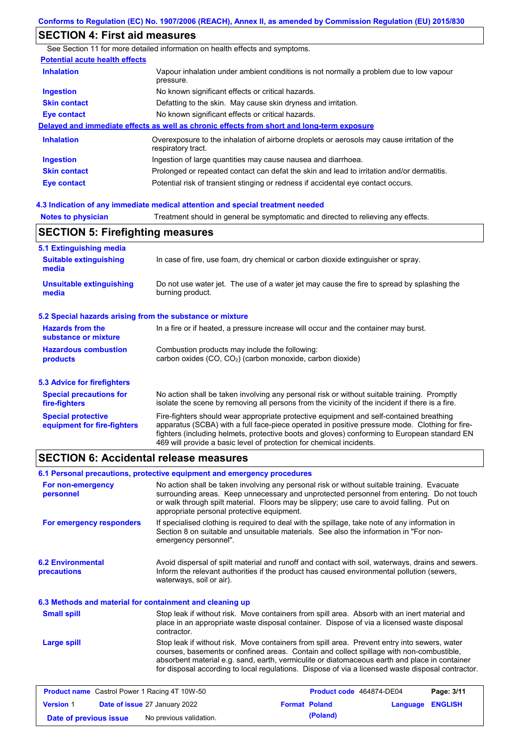# **SECTION 4: First aid measures**

|                                       | See Section 11 for more detailed information on health effects and symptoms.                                      |
|---------------------------------------|-------------------------------------------------------------------------------------------------------------------|
| <b>Potential acute health effects</b> |                                                                                                                   |
| <b>Inhalation</b>                     | Vapour inhalation under ambient conditions is not normally a problem due to low vapour<br>pressure.               |
| <b>Ingestion</b>                      | No known significant effects or critical hazards.                                                                 |
| <b>Skin contact</b>                   | Defatting to the skin. May cause skin dryness and irritation.                                                     |
| <b>Eye contact</b>                    | No known significant effects or critical hazards.                                                                 |
|                                       | Delayed and immediate effects as well as chronic effects from short and long-term exposure                        |
| <b>Inhalation</b>                     | Overexposure to the inhalation of airborne droplets or aerosols may cause irritation of the<br>respiratory tract. |
| <b>Ingestion</b>                      | Ingestion of large quantities may cause nausea and diarrhoea.                                                     |
| <b>Skin contact</b>                   | Prolonged or repeated contact can defat the skin and lead to irritation and/or dermatitis.                        |
| <b>Eye contact</b>                    | Potential risk of transient stinging or redness if accidental eye contact occurs.                                 |

### **4.3 Indication of any immediate medical attention and special treatment needed**

**Notes to physician** Treatment should in general be symptomatic and directed to relieving any effects.

# **SECTION 5: Firefighting measures**

| 5.1 Extinguishing media                                                                                                                                             |                                                                                                                                                                                                                                                                                                                                                                   |  |  |
|---------------------------------------------------------------------------------------------------------------------------------------------------------------------|-------------------------------------------------------------------------------------------------------------------------------------------------------------------------------------------------------------------------------------------------------------------------------------------------------------------------------------------------------------------|--|--|
| <b>Suitable extinguishing</b><br>In case of fire, use foam, dry chemical or carbon dioxide extinguisher or spray.<br>media                                          |                                                                                                                                                                                                                                                                                                                                                                   |  |  |
| Do not use water jet. The use of a water jet may cause the fire to spread by splashing the<br><b>Unsuitable extinguishing</b><br>burning product.<br>media          |                                                                                                                                                                                                                                                                                                                                                                   |  |  |
| 5.2 Special hazards arising from the substance or mixture                                                                                                           |                                                                                                                                                                                                                                                                                                                                                                   |  |  |
| <b>Hazards from the</b><br>In a fire or if heated, a pressure increase will occur and the container may burst.<br>substance or mixture                              |                                                                                                                                                                                                                                                                                                                                                                   |  |  |
| <b>Hazardous combustion</b><br>Combustion products may include the following:<br>carbon oxides (CO, CO <sub>2</sub> ) (carbon monoxide, carbon dioxide)<br>products |                                                                                                                                                                                                                                                                                                                                                                   |  |  |
| 5.3 Advice for firefighters                                                                                                                                         |                                                                                                                                                                                                                                                                                                                                                                   |  |  |
| <b>Special precautions for</b><br>fire-fighters                                                                                                                     | No action shall be taken involving any personal risk or without suitable training. Promptly<br>isolate the scene by removing all persons from the vicinity of the incident if there is a fire.                                                                                                                                                                    |  |  |
| <b>Special protective</b><br>equipment for fire-fighters                                                                                                            | Fire-fighters should wear appropriate protective equipment and self-contained breathing<br>apparatus (SCBA) with a full face-piece operated in positive pressure mode. Clothing for fire-<br>fighters (including helmets, protective boots and gloves) conforming to European standard EN<br>469 will provide a basic level of protection for chemical incidents. |  |  |

# **SECTION 6: Accidental release measures**

|                                                          | 6.1 Personal precautions, protective equipment and emergency procedures                                                                                                                                                                                                                                                                                                                        |
|----------------------------------------------------------|------------------------------------------------------------------------------------------------------------------------------------------------------------------------------------------------------------------------------------------------------------------------------------------------------------------------------------------------------------------------------------------------|
| For non-emergency<br>personnel                           | No action shall be taken involving any personal risk or without suitable training. Evacuate<br>surrounding areas. Keep unnecessary and unprotected personnel from entering. Do not touch<br>or walk through spilt material. Floors may be slippery; use care to avoid falling. Put on<br>appropriate personal protective equipment.                                                            |
| For emergency responders                                 | If specialised clothing is required to deal with the spillage, take note of any information in<br>Section 8 on suitable and unsuitable materials. See also the information in "For non-<br>emergency personnel".                                                                                                                                                                               |
| <b>6.2 Environmental</b><br>precautions                  | Avoid dispersal of spilt material and runoff and contact with soil, waterways, drains and sewers.<br>Inform the relevant authorities if the product has caused environmental pollution (sewers,<br>waterways, soil or air).                                                                                                                                                                    |
| 6.3 Methods and material for containment and cleaning up |                                                                                                                                                                                                                                                                                                                                                                                                |
| <b>Small spill</b>                                       | Stop leak if without risk. Move containers from spill area. Absorb with an inert material and<br>place in an appropriate waste disposal container. Dispose of via a licensed waste disposal<br>contractor.                                                                                                                                                                                     |
| Large spill                                              | Stop leak if without risk. Move containers from spill area. Prevent entry into sewers, water<br>courses, basements or confined areas. Contain and collect spillage with non-combustible,<br>absorbent material e.g. sand, earth, vermiculite or diatomaceous earth and place in container<br>for disposal according to local regulations. Dispose of via a licensed waste disposal contractor. |
| <b>Product name</b> Castrol Power 1 Racing 4T 10W-50     | <b>Product code</b> 464874-DE04<br>P <sub>2</sub> na: 3/11                                                                                                                                                                                                                                                                                                                                     |

| <b>Product name</b> Castrol Power 1 Racing 4T 10W-50 |                                      |                      | <b>Product code</b> 464874-DE04 |                         | Page: 3/11 |
|------------------------------------------------------|--------------------------------------|----------------------|---------------------------------|-------------------------|------------|
| <b>Version 1</b>                                     | <b>Date of issue 27 January 2022</b> | <b>Format Poland</b> |                                 | <b>Language ENGLISH</b> |            |
| Date of previous issue                               | No previous validation.              |                      | (Poland)                        |                         |            |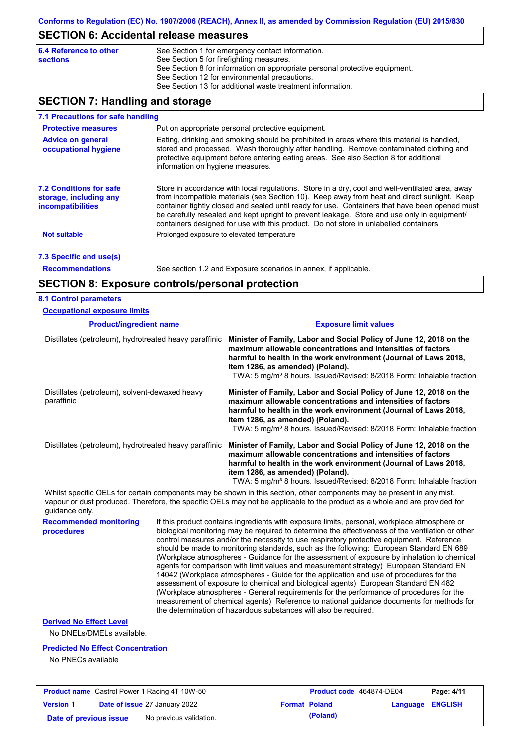## **SECTION 6: Accidental release measures**

| <b>6.4 Reference to other</b> | See Section 1 for emergency contact information.                            |
|-------------------------------|-----------------------------------------------------------------------------|
| <b>sections</b>               | See Section 5 for firefighting measures.                                    |
|                               | See Section 8 for information on appropriate personal protective equipment. |
|                               | See Section 12 for environmental precautions.                               |
|                               | See Section 13 for additional waste treatment information.                  |

## **SECTION 7: Handling and storage**

| 7.1 Precautions for safe handling                                                    |                                                                                                                                                                                                                                                                                                                                                                                                                                                                                          |
|--------------------------------------------------------------------------------------|------------------------------------------------------------------------------------------------------------------------------------------------------------------------------------------------------------------------------------------------------------------------------------------------------------------------------------------------------------------------------------------------------------------------------------------------------------------------------------------|
| <b>Protective measures</b>                                                           | Put on appropriate personal protective equipment.                                                                                                                                                                                                                                                                                                                                                                                                                                        |
| <b>Advice on general</b><br>occupational hygiene                                     | Eating, drinking and smoking should be prohibited in areas where this material is handled,<br>stored and processed. Wash thoroughly after handling. Remove contaminated clothing and<br>protective equipment before entering eating areas. See also Section 8 for additional<br>information on hygiene measures.                                                                                                                                                                         |
| <b>7.2 Conditions for safe</b><br>storage, including any<br><i>incompatibilities</i> | Store in accordance with local requlations. Store in a dry, cool and well-ventilated area, away<br>from incompatible materials (see Section 10). Keep away from heat and direct sunlight. Keep<br>container tightly closed and sealed until ready for use. Containers that have been opened must<br>be carefully resealed and kept upright to prevent leakage. Store and use only in equipment/<br>containers designed for use with this product. Do not store in unlabelled containers. |
| <b>Not suitable</b>                                                                  | Prolonged exposure to elevated temperature                                                                                                                                                                                                                                                                                                                                                                                                                                               |
| 7.3 Specific end use(s)                                                              |                                                                                                                                                                                                                                                                                                                                                                                                                                                                                          |
| <b>Recommendations</b>                                                               | See section 1.2 and Exposure scenarios in annex, if applicable.                                                                                                                                                                                                                                                                                                                                                                                                                          |

## **SECTION 8: Exposure controls/personal protection**

#### **8.1 Control parameters**

| <b>Occupational exposure limits</b>                          |                                                                                                                                                                                                                                                                                                                                 |  |  |  |
|--------------------------------------------------------------|---------------------------------------------------------------------------------------------------------------------------------------------------------------------------------------------------------------------------------------------------------------------------------------------------------------------------------|--|--|--|
| <b>Product/ingredient name</b>                               | <b>Exposure limit values</b>                                                                                                                                                                                                                                                                                                    |  |  |  |
| Distillates (petroleum), hydrotreated heavy paraffinic       | Minister of Family, Labor and Social Policy of June 12, 2018 on the<br>maximum allowable concentrations and intensities of factors<br>harmful to health in the work environment (Journal of Laws 2018,<br>item 1286, as amended) (Poland).<br>TWA: 5 mg/m <sup>3</sup> 8 hours. Issued/Revised: 8/2018 Form: Inhalable fraction |  |  |  |
| Distillates (petroleum), solvent-dewaxed heavy<br>paraffinic | Minister of Family, Labor and Social Policy of June 12, 2018 on the<br>maximum allowable concentrations and intensities of factors<br>harmful to health in the work environment (Journal of Laws 2018,<br>item 1286, as amended) (Poland).<br>TWA: 5 mg/m <sup>3</sup> 8 hours. Issued/Revised: 8/2018 Form: Inhalable fraction |  |  |  |
| Distillates (petroleum), hydrotreated heavy paraffinic       | Minister of Family, Labor and Social Policy of June 12, 2018 on the<br>maximum allowable concentrations and intensities of factors<br>harmful to health in the work environment (Journal of Laws 2018,<br>item 1286, as amended) (Poland).<br>TWA: 5 mg/m <sup>3</sup> 8 hours. Issued/Revised: 8/2018 Form: Inhalable fraction |  |  |  |

Whilst specific OELs for certain components may be shown in this section, other components may be present in any mist, vapour or dust produced. Therefore, the specific OELs may not be applicable to the product as a whole and are provided for guidance only.

**Recommended monitoring**  If this product contains ingredients with exposure limits, personal, workplace atmosphere or biological monitoring may be required to determine the effectiveness of the ventilation or other control measures and/or the necessity to use respiratory protective equipment. Reference should be made to monitoring standards, such as the following: European Standard EN 689 (Workplace atmospheres - Guidance for the assessment of exposure by inhalation to chemical agents for comparison with limit values and measurement strategy) European Standard EN 14042 (Workplace atmospheres - Guide for the application and use of procedures for the assessment of exposure to chemical and biological agents) European Standard EN 482 (Workplace atmospheres - General requirements for the performance of procedures for the measurement of chemical agents) Reference to national guidance documents for methods for the determination of hazardous substances will also be required.

#### **Derived No Effect Level**

**procedures**

No DNELs/DMELs available.

#### **Predicted No Effect Concentration**

No PNECs available

|                        | <b>Product name</b> Castrol Power 1 Racing 4T 10W-50 | <b>Product code</b> 464874-DE04 |                  | Page: 4/11 |
|------------------------|------------------------------------------------------|---------------------------------|------------------|------------|
| <b>Version 1</b>       | <b>Date of issue 27 January 2022</b>                 | <b>Format Poland</b>            | Language ENGLISH |            |
| Date of previous issue | No previous validation.                              | (Poland)                        |                  |            |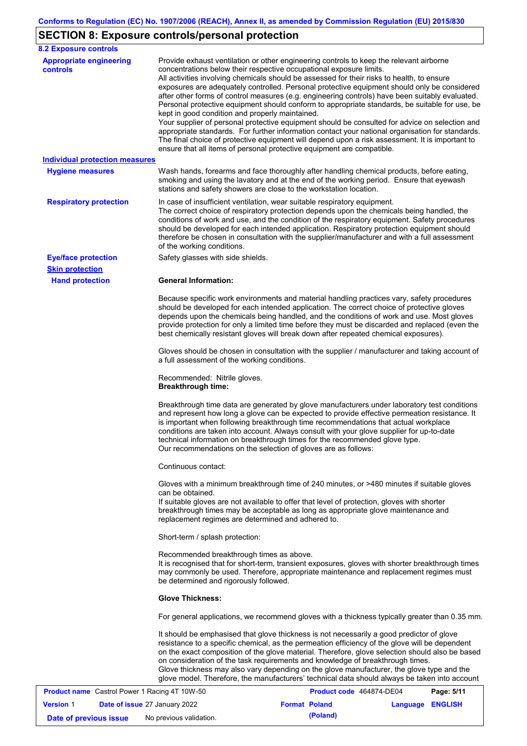# **SECTION 8: Exposure controls/personal protection**

| <b>8.2 Exposure controls</b>               |                                                                                                                                                                                                                                                                                                                                                                                                                                                                                                                                                                                                                                                                                                                                                                                                                                                                                                                                                                                                         |
|--------------------------------------------|---------------------------------------------------------------------------------------------------------------------------------------------------------------------------------------------------------------------------------------------------------------------------------------------------------------------------------------------------------------------------------------------------------------------------------------------------------------------------------------------------------------------------------------------------------------------------------------------------------------------------------------------------------------------------------------------------------------------------------------------------------------------------------------------------------------------------------------------------------------------------------------------------------------------------------------------------------------------------------------------------------|
| <b>Appropriate engineering</b><br>controls | Provide exhaust ventilation or other engineering controls to keep the relevant airborne<br>concentrations below their respective occupational exposure limits.<br>All activities involving chemicals should be assessed for their risks to health, to ensure<br>exposures are adequately controlled. Personal protective equipment should only be considered<br>after other forms of control measures (e.g. engineering controls) have been suitably evaluated.<br>Personal protective equipment should conform to appropriate standards, be suitable for use, be<br>kept in good condition and properly maintained.<br>Your supplier of personal protective equipment should be consulted for advice on selection and<br>appropriate standards. For further information contact your national organisation for standards.<br>The final choice of protective equipment will depend upon a risk assessment. It is important to<br>ensure that all items of personal protective equipment are compatible. |
| <b>Individual protection measures</b>      |                                                                                                                                                                                                                                                                                                                                                                                                                                                                                                                                                                                                                                                                                                                                                                                                                                                                                                                                                                                                         |
| <b>Hygiene measures</b>                    | Wash hands, forearms and face thoroughly after handling chemical products, before eating,<br>smoking and using the lavatory and at the end of the working period. Ensure that eyewash<br>stations and safety showers are close to the workstation location.                                                                                                                                                                                                                                                                                                                                                                                                                                                                                                                                                                                                                                                                                                                                             |
| <b>Respiratory protection</b>              | In case of insufficient ventilation, wear suitable respiratory equipment.<br>The correct choice of respiratory protection depends upon the chemicals being handled, the<br>conditions of work and use, and the condition of the respiratory equipment. Safety procedures<br>should be developed for each intended application. Respiratory protection equipment should<br>therefore be chosen in consultation with the supplier/manufacturer and with a full assessment<br>of the working conditions.                                                                                                                                                                                                                                                                                                                                                                                                                                                                                                   |
| <b>Eye/face protection</b>                 | Safety glasses with side shields.                                                                                                                                                                                                                                                                                                                                                                                                                                                                                                                                                                                                                                                                                                                                                                                                                                                                                                                                                                       |
| <b>Skin protection</b>                     |                                                                                                                                                                                                                                                                                                                                                                                                                                                                                                                                                                                                                                                                                                                                                                                                                                                                                                                                                                                                         |
| <b>Hand protection</b>                     | <b>General Information:</b>                                                                                                                                                                                                                                                                                                                                                                                                                                                                                                                                                                                                                                                                                                                                                                                                                                                                                                                                                                             |
|                                            | Because specific work environments and material handling practices vary, safety procedures<br>should be developed for each intended application. The correct choice of protective gloves<br>depends upon the chemicals being handled, and the conditions of work and use. Most gloves<br>provide protection for only a limited time before they must be discarded and replaced (even the<br>best chemically resistant gloves will break down after repeated chemical exposures).                                                                                                                                                                                                                                                                                                                                                                                                                                                                                                                        |
|                                            | Gloves should be chosen in consultation with the supplier / manufacturer and taking account of<br>a full assessment of the working conditions.                                                                                                                                                                                                                                                                                                                                                                                                                                                                                                                                                                                                                                                                                                                                                                                                                                                          |
|                                            | Recommended: Nitrile gloves.<br><b>Breakthrough time:</b>                                                                                                                                                                                                                                                                                                                                                                                                                                                                                                                                                                                                                                                                                                                                                                                                                                                                                                                                               |
|                                            | Breakthrough time data are generated by glove manufacturers under laboratory test conditions<br>and represent how long a glove can be expected to provide effective permeation resistance. It<br>is important when following breakthrough time recommendations that actual workplace<br>conditions are taken into account. Always consult with your glove supplier for up-to-date<br>technical information on breakthrough times for the recommended glove type.<br>Our recommendations on the selection of gloves are as follows:                                                                                                                                                                                                                                                                                                                                                                                                                                                                      |
|                                            | Continuous contact:                                                                                                                                                                                                                                                                                                                                                                                                                                                                                                                                                                                                                                                                                                                                                                                                                                                                                                                                                                                     |
|                                            | Gloves with a minimum breakthrough time of 240 minutes, or >480 minutes if suitable gloves<br>can be obtained.<br>If suitable gloves are not available to offer that level of protection, gloves with shorter<br>breakthrough times may be acceptable as long as appropriate glove maintenance and<br>replacement regimes are determined and adhered to.                                                                                                                                                                                                                                                                                                                                                                                                                                                                                                                                                                                                                                                |
|                                            | Short-term / splash protection:                                                                                                                                                                                                                                                                                                                                                                                                                                                                                                                                                                                                                                                                                                                                                                                                                                                                                                                                                                         |
|                                            | Recommended breakthrough times as above.<br>It is recognised that for short-term, transient exposures, gloves with shorter breakthrough times<br>may commonly be used. Therefore, appropriate maintenance and replacement regimes must<br>be determined and rigorously followed.                                                                                                                                                                                                                                                                                                                                                                                                                                                                                                                                                                                                                                                                                                                        |
|                                            | <b>Glove Thickness:</b>                                                                                                                                                                                                                                                                                                                                                                                                                                                                                                                                                                                                                                                                                                                                                                                                                                                                                                                                                                                 |
|                                            | For general applications, we recommend gloves with a thickness typically greater than 0.35 mm.                                                                                                                                                                                                                                                                                                                                                                                                                                                                                                                                                                                                                                                                                                                                                                                                                                                                                                          |
|                                            | It should be emphasised that glove thickness is not necessarily a good predictor of glove<br>resistance to a specific chemical, as the permeation efficiency of the glove will be dependent<br>on the exact composition of the glove material. Therefore, glove selection should also be based<br>on consideration of the task requirements and knowledge of breakthrough times.<br>Glove thickness may also vary depending on the glove manufacturer, the glove type and the<br>glove model. Therefore, the manufacturers' technical data should always be taken into account                                                                                                                                                                                                                                                                                                                                                                                                                          |

|                        | <b>Product name</b> Castrol Power 1 Racing 4T 10W-50 | Product code 464874-DE04 |                  | Page: 5/11 |
|------------------------|------------------------------------------------------|--------------------------|------------------|------------|
| <b>Version 1</b>       | <b>Date of issue 27 January 2022</b>                 | <b>Format Poland</b>     | Language ENGLISH |            |
| Date of previous issue | No previous validation.                              | (Poland)                 |                  |            |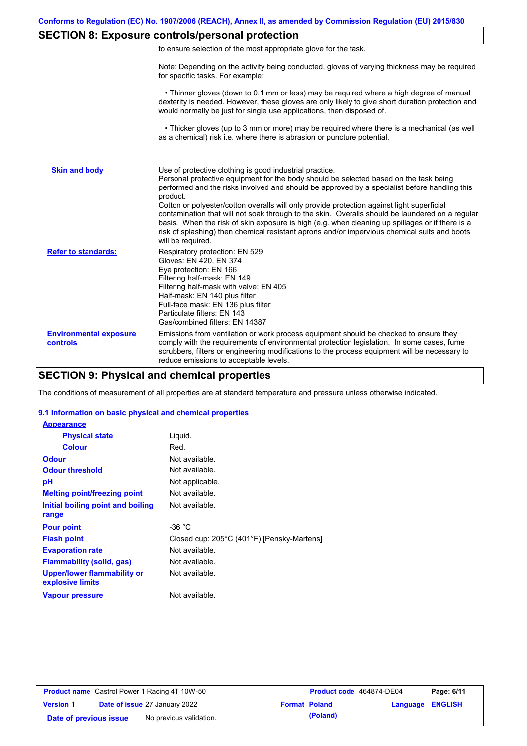# **SECTION 8: Exposure controls/personal protection**

|  | to ensure selection of the most appropriate glove for the task. |  |  |  |  |
|--|-----------------------------------------------------------------|--|--|--|--|
|  |                                                                 |  |  |  |  |

Note: Depending on the activity being conducted, gloves of varying thickness may be required for specific tasks. For example:

 • Thinner gloves (down to 0.1 mm or less) may be required where a high degree of manual dexterity is needed. However, these gloves are only likely to give short duration protection and would normally be just for single use applications, then disposed of.

 • Thicker gloves (up to 3 mm or more) may be required where there is a mechanical (as well as a chemical) risk i.e. where there is abrasion or puncture potential.

| <b>Skin and body</b>                      | Use of protective clothing is good industrial practice.<br>Personal protective equipment for the body should be selected based on the task being<br>performed and the risks involved and should be approved by a specialist before handling this<br>product.<br>Cotton or polyester/cotton overalls will only provide protection against light superficial<br>contamination that will not soak through to the skin. Overalls should be laundered on a regular<br>basis. When the risk of skin exposure is high (e.g. when cleaning up spillages or if there is a<br>risk of splashing) then chemical resistant aprons and/or impervious chemical suits and boots<br>will be required. |
|-------------------------------------------|---------------------------------------------------------------------------------------------------------------------------------------------------------------------------------------------------------------------------------------------------------------------------------------------------------------------------------------------------------------------------------------------------------------------------------------------------------------------------------------------------------------------------------------------------------------------------------------------------------------------------------------------------------------------------------------|
| <b>Refer to standards:</b>                | Respiratory protection: EN 529<br>Gloves: EN 420, EN 374<br>Eye protection: EN 166<br>Filtering half-mask: EN 149<br>Filtering half-mask with valve: EN 405<br>Half-mask: EN 140 plus filter<br>Full-face mask: EN 136 plus filter<br>Particulate filters: EN 143<br>Gas/combined filters: EN 14387                                                                                                                                                                                                                                                                                                                                                                                   |
| <b>Environmental exposure</b><br>controls | Emissions from ventilation or work process equipment should be checked to ensure they<br>comply with the requirements of environmental protection legislation. In some cases, fume<br>scrubbers, filters or engineering modifications to the process equipment will be necessary to<br>reduce emissions to acceptable levels.                                                                                                                                                                                                                                                                                                                                                         |

## **SECTION 9: Physical and chemical properties**

The conditions of measurement of all properties are at standard temperature and pressure unless otherwise indicated.

#### **9.1 Information on basic physical and chemical properties**

| <b>Appearance</b>                               |                                            |
|-------------------------------------------------|--------------------------------------------|
| <b>Physical state</b>                           | Liquid.                                    |
| <b>Colour</b>                                   | Red.                                       |
| <b>Odour</b>                                    | Not available.                             |
| <b>Odour threshold</b>                          | Not available.                             |
| рH                                              | Not applicable.                            |
| <b>Melting point/freezing point</b>             | Not available.                             |
| Initial boiling point and boiling               | Not available.                             |
| range                                           |                                            |
| <b>Pour point</b>                               | -36 °C                                     |
| <b>Flash point</b>                              | Closed cup: 205°C (401°F) [Pensky-Martens] |
| <b>Evaporation rate</b>                         | Not available.                             |
| <b>Flammability (solid, gas)</b>                | Not available.                             |
| Upper/lower flammability or<br>explosive limits | Not available.                             |
| <b>Vapour pressure</b>                          | Not available.                             |

|                        | <b>Product name</b> Castrol Power 1 Racing 4T 10W-50 |                      | Product code 464874-DE04 |                         | Page: 6/11 |
|------------------------|------------------------------------------------------|----------------------|--------------------------|-------------------------|------------|
| <b>Version 1</b>       | <b>Date of issue 27 January 2022</b>                 | <b>Format Poland</b> |                          | <b>Language ENGLISH</b> |            |
| Date of previous issue | No previous validation.                              |                      | (Poland)                 |                         |            |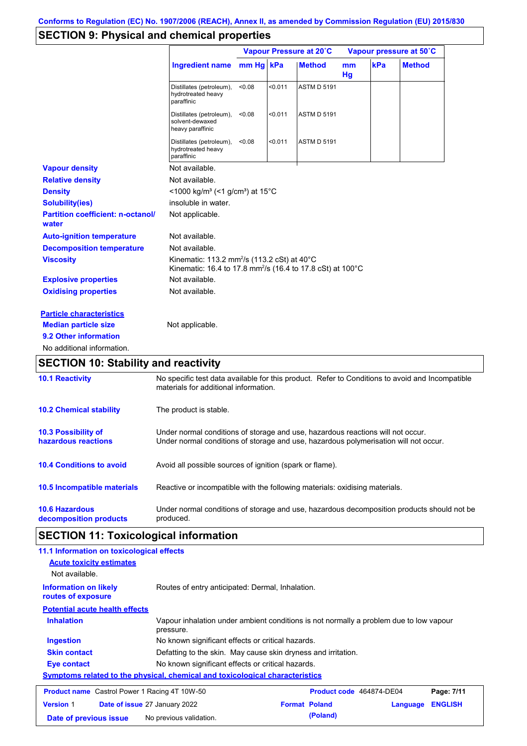# **SECTION 9: Physical and chemical properties**

|                                                   |                                                                                                                                             |           | Vapour Pressure at 20°C |                    |          | Vapour pressure at 50°C |               |  |
|---------------------------------------------------|---------------------------------------------------------------------------------------------------------------------------------------------|-----------|-------------------------|--------------------|----------|-------------------------|---------------|--|
|                                                   | <b>Ingredient name</b>                                                                                                                      | mm Hg kPa |                         | <b>Method</b>      | mm<br>Hg | kPa                     | <b>Method</b> |  |
|                                                   | Distillates (petroleum),<br>hydrotreated heavy<br>paraffinic                                                                                | < 0.08    | < 0.011                 | <b>ASTM D 5191</b> |          |                         |               |  |
|                                                   | Distillates (petroleum),<br>solvent-dewaxed<br>heavy paraffinic                                                                             | < 0.08    | < 0.011                 | <b>ASTM D 5191</b> |          |                         |               |  |
|                                                   | Distillates (petroleum),<br>hydrotreated heavy<br>paraffinic                                                                                | < 0.08    | < 0.011                 | <b>ASTM D 5191</b> |          |                         |               |  |
| <b>Vapour density</b>                             | Not available.                                                                                                                              |           |                         |                    |          |                         |               |  |
| <b>Relative density</b>                           | Not available.                                                                                                                              |           |                         |                    |          |                         |               |  |
| <b>Density</b>                                    | <1000 kg/m <sup>3</sup> (<1 g/cm <sup>3</sup> ) at 15°C                                                                                     |           |                         |                    |          |                         |               |  |
| <b>Solubility(ies)</b>                            | insoluble in water.                                                                                                                         |           |                         |                    |          |                         |               |  |
| <b>Partition coefficient: n-octanol/</b><br>water | Not applicable.                                                                                                                             |           |                         |                    |          |                         |               |  |
| <b>Auto-ignition temperature</b>                  | Not available.                                                                                                                              |           |                         |                    |          |                         |               |  |
| <b>Decomposition temperature</b>                  | Not available.                                                                                                                              |           |                         |                    |          |                         |               |  |
| <b>Viscosity</b>                                  | Kinematic: 113.2 mm <sup>2</sup> /s (113.2 cSt) at $40^{\circ}$ C<br>Kinematic: 16.4 to 17.8 mm <sup>2</sup> /s (16.4 to 17.8 cSt) at 100°C |           |                         |                    |          |                         |               |  |
| <b>Explosive properties</b>                       | Not available.                                                                                                                              |           |                         |                    |          |                         |               |  |
| <b>Oxidising properties</b>                       | Not available.                                                                                                                              |           |                         |                    |          |                         |               |  |
| <b>Particle characteristics</b>                   |                                                                                                                                             |           |                         |                    |          |                         |               |  |
| <b>Median particle size</b>                       | Not applicable.                                                                                                                             |           |                         |                    |          |                         |               |  |
| 9.2 Other information                             |                                                                                                                                             |           |                         |                    |          |                         |               |  |
| No additional information.                        |                                                                                                                                             |           |                         |                    |          |                         |               |  |
| <b>SECTION 10: Stability and reactivity</b>       |                                                                                                                                             |           |                         |                    |          |                         |               |  |
| <b>10.1 Reactivity</b>                            | No specific test data available for this product. Refer to Conditions to avoid and Incompatible<br>materials for additional information.    |           |                         |                    |          |                         |               |  |
| <b>10.2 Chemical stability</b>                    | The product is stable.                                                                                                                      |           |                         |                    |          |                         |               |  |
| 10.3 Possibility of                               | Under normal conditions of storage and use, hazardous reactions will not occur.                                                             |           |                         |                    |          |                         |               |  |

| hazardous reactions | Under normal conditions of storage and use, hazardous polymerisation will not occur. |
|---------------------|--------------------------------------------------------------------------------------|
|                     |                                                                                      |

## **10.4 Conditions to avoid** Avoid all possible sources of ignition (spark or flame).

| <b>10.6 Hazardous</b>  | Under normal conditions of storage and use, hazardous decomposition products should not be |
|------------------------|--------------------------------------------------------------------------------------------|
| decomposition products | produced.                                                                                  |

Reactive or incompatible with the following materials: oxidising materials.

# **SECTION 11: Toxicological information**

**10.5 Incompatible materials**

| 11.1 Information on toxicological effects            |                                                                                                     |  |                          |  |            |
|------------------------------------------------------|-----------------------------------------------------------------------------------------------------|--|--------------------------|--|------------|
| <b>Acute toxicity estimates</b>                      |                                                                                                     |  |                          |  |            |
| Not available.                                       |                                                                                                     |  |                          |  |            |
| <b>Information on likely</b><br>routes of exposure   | Routes of entry anticipated: Dermal, Inhalation.                                                    |  |                          |  |            |
| <b>Potential acute health effects</b>                |                                                                                                     |  |                          |  |            |
| <b>Inhalation</b>                                    | Vapour inhalation under ambient conditions is not normally a problem due to low vapour<br>pressure. |  |                          |  |            |
| <b>Ingestion</b>                                     | No known significant effects or critical hazards.                                                   |  |                          |  |            |
| <b>Skin contact</b>                                  | Defatting to the skin. May cause skin dryness and irritation.                                       |  |                          |  |            |
| Eye contact                                          | No known significant effects or critical hazards.                                                   |  |                          |  |            |
|                                                      | <u>Symptoms related to the physical, chemical and toxicological characteristics</u>                 |  |                          |  |            |
| <b>Product name</b> Castrol Power 1 Racing 4T 10W-50 |                                                                                                     |  | Product code 464874-DE04 |  | Page: 7/11 |
| <b>Version 1</b>                                     | <b>Format Poland</b><br><b>ENGLISH</b><br><b>Date of issue 27 January 2022</b><br>Language          |  |                          |  |            |
| Date of previous issue                               | No previous validation.                                                                             |  | (Poland)                 |  |            |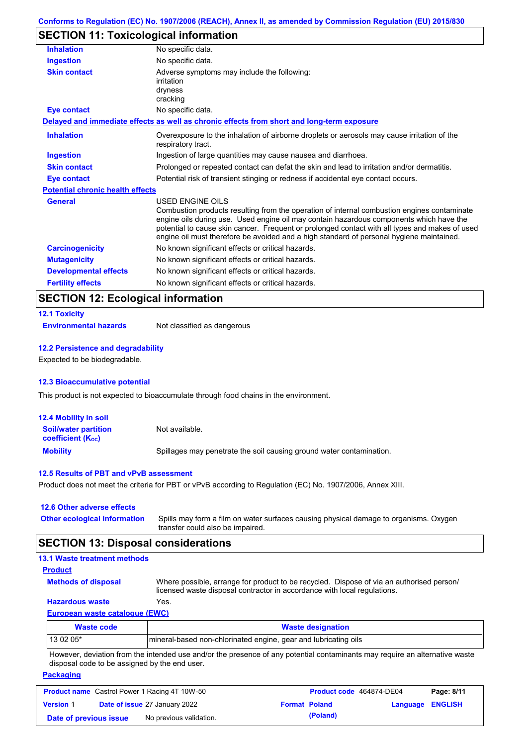# **SECTION 11: Toxicological information**

| <b>Inhalation</b>                       | No specific data.                                                                                                                                                                                                                                                                                                                                                                                        |
|-----------------------------------------|----------------------------------------------------------------------------------------------------------------------------------------------------------------------------------------------------------------------------------------------------------------------------------------------------------------------------------------------------------------------------------------------------------|
| <b>Ingestion</b>                        | No specific data.                                                                                                                                                                                                                                                                                                                                                                                        |
| <b>Skin contact</b>                     | Adverse symptoms may include the following:<br>irritation<br>dryness<br>cracking                                                                                                                                                                                                                                                                                                                         |
| Eye contact                             | No specific data.                                                                                                                                                                                                                                                                                                                                                                                        |
|                                         | Delayed and immediate effects as well as chronic effects from short and long-term exposure                                                                                                                                                                                                                                                                                                               |
| <b>Inhalation</b>                       | Overexposure to the inhalation of airborne droplets or aerosols may cause irritation of the<br>respiratory tract.                                                                                                                                                                                                                                                                                        |
| <b>Ingestion</b>                        | Ingestion of large quantities may cause nausea and diarrhoea.                                                                                                                                                                                                                                                                                                                                            |
| <b>Skin contact</b>                     | Prolonged or repeated contact can defat the skin and lead to irritation and/or dermatitis.                                                                                                                                                                                                                                                                                                               |
| <b>Eye contact</b>                      | Potential risk of transient stinging or redness if accidental eye contact occurs.                                                                                                                                                                                                                                                                                                                        |
| <b>Potential chronic health effects</b> |                                                                                                                                                                                                                                                                                                                                                                                                          |
| <b>General</b>                          | USED ENGINE OILS<br>Combustion products resulting from the operation of internal combustion engines contaminate<br>engine oils during use. Used engine oil may contain hazardous components which have the<br>potential to cause skin cancer. Frequent or prolonged contact with all types and makes of used<br>engine oil must therefore be avoided and a high standard of personal hygiene maintained. |
| <b>Carcinogenicity</b>                  | No known significant effects or critical hazards.                                                                                                                                                                                                                                                                                                                                                        |
| <b>Mutagenicity</b>                     | No known significant effects or critical hazards.                                                                                                                                                                                                                                                                                                                                                        |
| <b>Developmental effects</b>            | No known significant effects or critical hazards.                                                                                                                                                                                                                                                                                                                                                        |
| <b>Fertility effects</b>                | No known significant effects or critical hazards.                                                                                                                                                                                                                                                                                                                                                        |

## **SECTION 12: Ecological information**

| <b>12.1 Toxicity</b>  |              |
|-----------------------|--------------|
| Facturemental homests | $N_{\alpha}$ |

**Environmental hazards** Not classified as dangerous

#### **12.2 Persistence and degradability**

Expected to be biodegradable.

#### **12.3 Bioaccumulative potential**

This product is not expected to bioaccumulate through food chains in the environment.

| <b>12.4 Mobility in soil</b>                            |                                                                      |
|---------------------------------------------------------|----------------------------------------------------------------------|
| <b>Soil/water partition</b><br><b>coefficient (Koc)</b> | Not available.                                                       |
| <b>Mobility</b>                                         | Spillages may penetrate the soil causing ground water contamination. |

#### **12.5 Results of PBT and vPvB assessment**

Product does not meet the criteria for PBT or vPvB according to Regulation (EC) No. 1907/2006, Annex XIII.

| 12.6 Other adverse effects          |    |
|-------------------------------------|----|
| <b>Other ecological information</b> | Sp |

Spills may form a film on water surfaces causing physical damage to organisms. Oxygen transfer could also be impaired.

## **SECTION 13: Disposal considerations**

## **13.1 Waste treatment methods**

**Product**

Where possible, arrange for product to be recycled. Dispose of via an authorised person/ licensed waste disposal contractor in accordance with local regulations.

### **Hazardous waste** Yes.

**Methods of disposal**

**European waste catalogue (EWC)**

| Waste code | <b>Waste designation</b>                                        |
|------------|-----------------------------------------------------------------|
| 13 02 05*  | mineral-based non-chlorinated engine, gear and lubricating oils |

However, deviation from the intended use and/or the presence of any potential contaminants may require an alternative waste disposal code to be assigned by the end user.

### **Packaging**

|                        | <b>Product name</b> Castrol Power 1 Racing 4T 10W-50 | Product code 464874-DE04 |                         | Page: 8/11 |
|------------------------|------------------------------------------------------|--------------------------|-------------------------|------------|
| <b>Version 1</b>       | <b>Date of issue 27 January 2022</b>                 | <b>Format Poland</b>     | <b>Language ENGLISH</b> |            |
| Date of previous issue | No previous validation.                              | (Poland)                 |                         |            |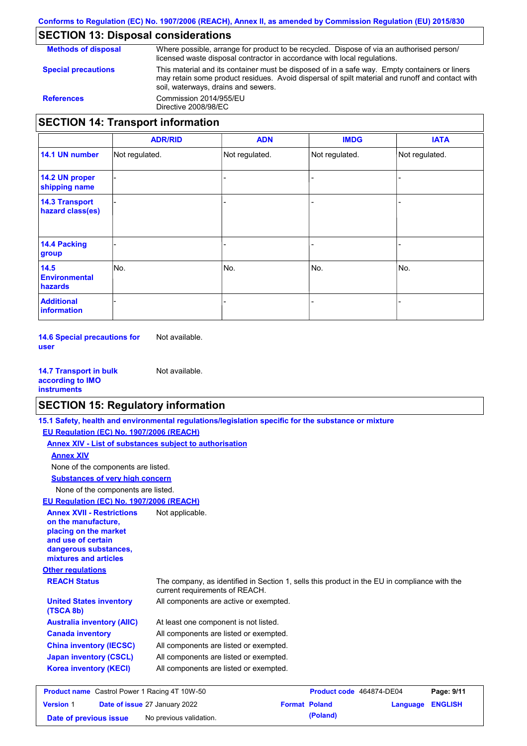## **SECTION 13: Disposal considerations**

**Methods of disposal Special precautions** Where possible, arrange for product to be recycled. Dispose of via an authorised person/ licensed waste disposal contractor in accordance with local regulations. This material and its container must be disposed of in a safe way. Empty containers or liners may retain some product residues. Avoid dispersal of spilt material and runoff and contact with soil, waterways, drains and sewers. **References** Commission 2014/955/EU Directive 2008/98/EC **SECTION 14: Transport information ADR/RID IMDG IATA ADN**

|                                           | <b>ADR/RID</b> | <b>ADN</b>               | <b>IMDG</b>    | <b>IAIA</b>    |
|-------------------------------------------|----------------|--------------------------|----------------|----------------|
| 14.1 UN number                            | Not regulated. | Not regulated.           | Not regulated. | Not regulated. |
| 14.2 UN proper<br>shipping name           |                |                          |                |                |
| <b>14.3 Transport</b><br>hazard class(es) |                | $\overline{\phantom{0}}$ |                |                |
| 14.4 Packing<br>group                     |                |                          |                |                |
| 14.5<br><b>Environmental</b><br>hazards   | No.            | No.                      | No.            | No.            |
| <b>Additional</b><br>information          |                |                          |                |                |

**14.6 Special precautions for user** Not available.

| <b>14.7 Transport in bulk</b> | Not available. |
|-------------------------------|----------------|
| according to <b>IMO</b>       |                |
| <b>instruments</b>            |                |

## **SECTION 15: Regulatory information**

**15.1 Safety, health and environmental regulations/legislation specific for the substance or mixture**

**EU Regulation (EC) No. 1907/2006 (REACH)**

**Annex XIV - List of substances subject to authorisation**

**Annex XIV**

None of the components are listed.

**Substances of very high concern**

None of the components are listed.

**EU Regulation (EC) No. 1907/2006 (REACH)**

| <b>Annex XVII - Restrictions</b><br>on the manufacture,<br>placing on the market<br>and use of certain<br>dangerous substances,<br>mixtures and articles | Not applicable.                                                                                                                |
|----------------------------------------------------------------------------------------------------------------------------------------------------------|--------------------------------------------------------------------------------------------------------------------------------|
| <b>Other regulations</b>                                                                                                                                 |                                                                                                                                |
| <b>REACH Status</b>                                                                                                                                      | The company, as identified in Section 1, sells this product in the EU in compliance with the<br>current requirements of REACH. |
| <b>United States inventory</b><br>(TSCA 8b)                                                                                                              | All components are active or exempted.                                                                                         |
| <b>Australia inventory (AIIC)</b>                                                                                                                        | At least one component is not listed.                                                                                          |
| <b>Canada inventory</b>                                                                                                                                  | All components are listed or exempted.                                                                                         |
| <b>China inventory (IECSC)</b>                                                                                                                           | All components are listed or exempted.                                                                                         |
| <b>Japan inventory (CSCL)</b>                                                                                                                            | All components are listed or exempted.                                                                                         |
| <b>Korea inventory (KECI)</b>                                                                                                                            | All components are listed or exempted.                                                                                         |
| <b>Product name</b> Castrol Power 1 Racing 4T 10W-50                                                                                                     | Page: 9/11<br><b>Product code</b> 464874-DF04                                                                                  |

|                        | <b>Product name</b> Castrol Power 1 Racing 4T 10W-50 | Product code 464874-DE04 |                         | Page: 9/11 |
|------------------------|------------------------------------------------------|--------------------------|-------------------------|------------|
| <b>Version 1</b>       | <b>Date of issue 27 January 2022</b>                 | <b>Format Poland</b>     | <b>Language ENGLISH</b> |            |
| Date of previous issue | No previous validation.                              | (Poland)                 |                         |            |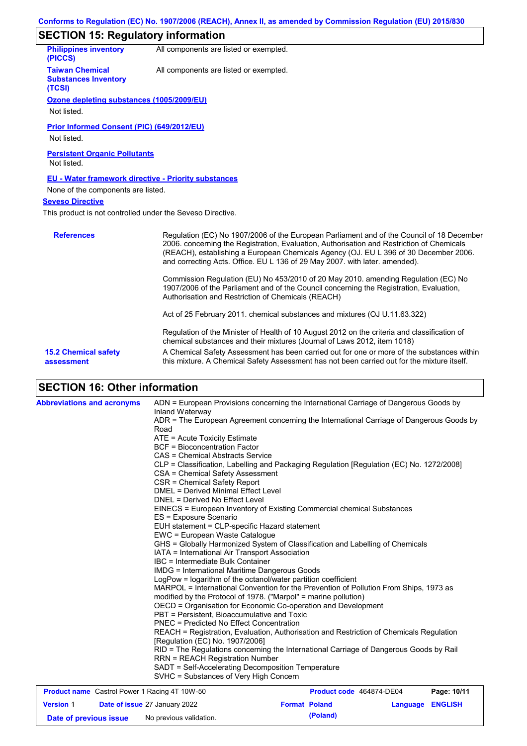# **SECTION 15: Regulatory information**

| <b>Philippines inventory</b><br>(PICCS)                         | All components are listed or exempted. |
|-----------------------------------------------------------------|----------------------------------------|
| <b>Taiwan Chemical</b><br><b>Substances Inventory</b><br>(TCSI) | All components are listed or exempted. |
| Ozone depleting substances (1005/2009/EU)                       |                                        |
| .                                                               |                                        |

Not listed.

**Prior Informed Consent (PIC) (649/2012/EU)**

Not listed.

**Persistent Organic Pollutants** Not listed.

### **EU - Water framework directive - Priority substances**

None of the components are listed.

### **Seveso Directive**

This product is not controlled under the Seveso Directive.

| <b>References</b>                         | Regulation (EC) No 1907/2006 of the European Parliament and of the Council of 18 December<br>2006. concerning the Registration, Evaluation, Authorisation and Restriction of Chemicals<br>(REACH), establishing a European Chemicals Agency (OJ. EU L 396 of 30 December 2006.<br>and correcting Acts. Office. EU L 136 of 29 May 2007. with later. amended). |
|-------------------------------------------|---------------------------------------------------------------------------------------------------------------------------------------------------------------------------------------------------------------------------------------------------------------------------------------------------------------------------------------------------------------|
|                                           | Commission Regulation (EU) No 453/2010 of 20 May 2010. amending Regulation (EC) No<br>1907/2006 of the Parliament and of the Council concerning the Registration, Evaluation,<br>Authorisation and Restriction of Chemicals (REACH)                                                                                                                           |
|                                           | Act of 25 February 2011. chemical substances and mixtures (OJ U.11.63.322)                                                                                                                                                                                                                                                                                    |
|                                           | Regulation of the Minister of Health of 10 August 2012 on the criteria and classification of<br>chemical substances and their mixtures (Journal of Laws 2012, item 1018)                                                                                                                                                                                      |
| <b>15.2 Chemical safety</b><br>assessment | A Chemical Safety Assessment has been carried out for one or more of the substances within<br>this mixture. A Chemical Safety Assessment has not been carried out for the mixture itself.                                                                                                                                                                     |

# **SECTION 16: Other information**

| <b>Product name</b> Castrol Power 1 Racing 4T 10W-50 | <b>Product code</b> 464874-DE04<br>Page: 10/11                                                   |
|------------------------------------------------------|--------------------------------------------------------------------------------------------------|
|                                                      | SVHC = Substances of Very High Concern                                                           |
|                                                      | SADT = Self-Accelerating Decomposition Temperature                                               |
|                                                      | <b>RRN = REACH Registration Number</b>                                                           |
|                                                      | RID = The Regulations concerning the International Carriage of Dangerous Goods by Rail           |
|                                                      | [Regulation (EC) No. 1907/2006]                                                                  |
|                                                      | REACH = Registration, Evaluation, Authorisation and Restriction of Chemicals Regulation          |
|                                                      | <b>PNEC = Predicted No Effect Concentration</b>                                                  |
|                                                      | PBT = Persistent, Bioaccumulative and Toxic                                                      |
|                                                      | OECD = Organisation for Economic Co-operation and Development                                    |
|                                                      | modified by the Protocol of 1978. ("Marpol" = marine pollution)                                  |
|                                                      | MARPOL = International Convention for the Prevention of Pollution From Ships, 1973 as            |
|                                                      | LogPow = logarithm of the octanol/water partition coefficient                                    |
|                                                      | <b>IMDG</b> = International Maritime Dangerous Goods                                             |
|                                                      | IBC = Intermediate Bulk Container                                                                |
|                                                      | IATA = International Air Transport Association                                                   |
|                                                      | GHS = Globally Harmonized System of Classification and Labelling of Chemicals                    |
|                                                      | EWC = European Waste Catalogue                                                                   |
|                                                      | EUH statement = CLP-specific Hazard statement                                                    |
|                                                      | EINECS = European Inventory of Existing Commercial chemical Substances<br>ES = Exposure Scenario |
|                                                      |                                                                                                  |
|                                                      | DNEL = Derived No Effect Level                                                                   |
|                                                      | CSR = Chemical Safety Report<br><b>DMEL = Derived Minimal Effect Level</b>                       |
|                                                      | CSA = Chemical Safety Assessment                                                                 |
|                                                      | CLP = Classification, Labelling and Packaging Regulation [Regulation (EC) No. 1272/2008]         |
|                                                      | CAS = Chemical Abstracts Service                                                                 |
|                                                      | <b>BCF</b> = Bioconcentration Factor                                                             |
|                                                      | ATE = Acute Toxicity Estimate                                                                    |
|                                                      | Road                                                                                             |
|                                                      | ADR = The European Agreement concerning the International Carriage of Dangerous Goods by         |
|                                                      | Inland Waterway                                                                                  |
| <b>Abbreviations and acronyms</b>                    | ADN = European Provisions concerning the International Carriage of Dangerous Goods by            |

|                        | <b>Product name</b> Castrol Power 1 Racing 4T 10W-50 |                      | Product code 464874-DE04 |                  | Page: 10/11 |
|------------------------|------------------------------------------------------|----------------------|--------------------------|------------------|-------------|
| <b>Version 1</b>       | <b>Date of issue 27 January 2022</b>                 | <b>Format Poland</b> |                          | Language ENGLISH |             |
| Date of previous issue | No previous validation.                              |                      | (Poland)                 |                  |             |